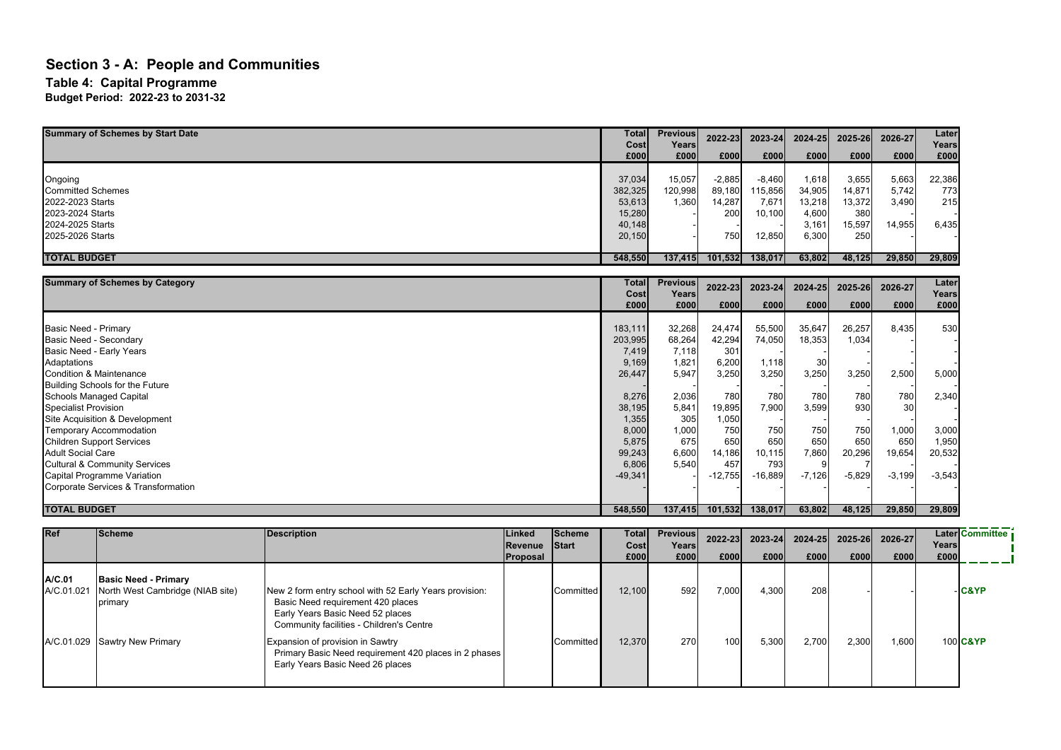#### **Section 3 - A: People and Communities Table 4: Capital Programme Budget Period: 2022-23 to 2031-32**

| <b>Summary of Schemes by Start Date</b> | Total<br>Costi | <b>Previous</b><br>Years | 2022-23  | 2023-24  | 2024-25 | 2025-26 | 2026-27 | Later<br>Years |
|-----------------------------------------|----------------|--------------------------|----------|----------|---------|---------|---------|----------------|
|                                         | £000           | £000                     | £000     | £000     | £000    | £000    | £000    | £000           |
|                                         |                |                          |          |          |         |         |         |                |
| Ongoing                                 | 37,034         | 15,057                   | $-2,885$ | $-8,460$ | 1,618   | 3,655   | 5,663   | 22,386         |
| <b>Committed Schemes</b>                | 382,325        | 120,998                  | 89,180   | 115,856  | 34,905  | 14,871  | 5,742   | 773            |
| 2022-2023 Starts                        | 53,613         | 1,360                    | 14,287   | 7,671    | 13,218  | 13,372  | 3,490   | 215            |
| 2023-2024 Starts                        | 15,280         |                          | 200      | 10,100   | 4,600   | 380     |         |                |
| 2024-2025 Starts                        | 40,148         |                          |          |          | 3,161   | 15,597  | 14,955  | 6,435          |
| 2025-2026 Starts                        | 20,150         |                          | 750      | 12,850   | 6,300   | 250     |         |                |
|                                         |                |                          |          |          |         |         |         |                |
| <b>TOTAL BUDGET</b>                     | 548,550        | 137,415                  | 101,532  | 138,017  | 63,802  | 48,125  | 29,850  | 29,809         |

| <b>Summary of Schemes by Category</b>    | Total        | <b>Previous</b> | 2022-23   | 2023-24   | 2024-25  | 2025-26  | 2026-27         | Later         |
|------------------------------------------|--------------|-----------------|-----------|-----------|----------|----------|-----------------|---------------|
|                                          | Cost<br>£000 | Years<br>£000   | £000      | £000      | £000     | £000     | £000            | Years<br>£000 |
|                                          |              |                 |           |           |          |          |                 |               |
| Basic Need - Primary                     | 183,111      | 32,268          | 24,474    | 55,500    | 35,647   | 26,257   | 8,435           | 530           |
| Basic Need - Secondary                   | 203,995      | 68,264          | 42,294    | 74,050    | 18,353   | 1,034    |                 |               |
| Basic Need - Early Years                 | 7,419        | 7,118           | 301       |           |          |          |                 |               |
| Adaptations                              | 9,169        | 1,821           | 6,200     | 1,118     | 30       |          |                 |               |
| Condition & Maintenance                  | 26,447       | 5,947           | 3,250     | 3,250     | 3,250    | 3,250    | 2,500           | 5,000         |
| Building Schools for the Future          |              |                 |           |           |          |          |                 |               |
| <b>Schools Managed Capital</b>           | 8,276        | 2,036           | 780       | 780       | 780      | 780      | 780             | 2,340         |
| Specialist Provision                     | 38,195       | 5,841           | 19,895    | 7,900     | 3,599    | 930      | 30 <sup>1</sup> |               |
| Site Acquisition & Development           | 1,355        | 305             | 1,050     |           |          |          |                 |               |
| <b>Temporary Accommodation</b>           | 8,000        | 1,000           | 750       | 750       | 750      | 750      | 1,000           | 3,000         |
| <b>Children Support Services</b>         | 5,875        | 675             | 650       | 650       | 650      | 650      | 650             | 1,950         |
| <b>Adult Social Care</b>                 | 99,243       | 6,600           | 14,186    | 10,115    | 7,860    | 20,296   | 19,654          | 20,532        |
| <b>Cultural &amp; Community Services</b> | 6,806        | 5,540           | 457       | 793       |          |          |                 |               |
| Capital Programme Variation              | $-49,341$    |                 | $-12,755$ | $-16,889$ | $-7,126$ | $-5,829$ | $-3,199$        | $-3,543$      |
| Corporate Services & Transformation      |              |                 |           |           |          |          |                 |               |
|                                          |              |                 |           |           |          |          |                 |               |
| <b>TOTAL BUDGET</b>                      | 548,550      | 137,415         | 101,532   | 138,017   | 63,802   | 48,125   | 29,850          | 29,809        |

| <b>Ref</b>           | <b>Scheme</b>                                                              | <b>Description</b>                                                                                                                                                          | Linked<br><b>Revenue Start</b><br>Proposal | <b>Scheme</b>    | Cost<br>£000 | <b>Total Previous</b><br>Years<br>£000 | $2022 - 23$<br>£000 | $2023 - 24$<br>£000 | £000  | 2024-25 2025-26<br>£000 | 2026-27<br>£000 | Years<br>£000 | <b>Later Committee</b> |
|----------------------|----------------------------------------------------------------------------|-----------------------------------------------------------------------------------------------------------------------------------------------------------------------------|--------------------------------------------|------------------|--------------|----------------------------------------|---------------------|---------------------|-------|-------------------------|-----------------|---------------|------------------------|
| A/C.01<br>A/C.01.021 | <b>Basic Need - Primary</b><br>North West Cambridge (NIAB site)<br>primary | New 2 form entry school with 52 Early Years provision:<br>Basic Need requirement 420 places<br>Early Years Basic Need 52 places<br>Community facilities - Children's Centre |                                            | <b>Committed</b> | 12,100       | 592                                    | 7,000               | 4,300               | 208   |                         |                 |               | -IC&YP                 |
|                      | A/C.01.029 Sawtry New Primary                                              | Expansion of provision in Sawtry<br>Primary Basic Need requirement 420 places in 2 phases<br>Early Years Basic Need 26 places                                               |                                            | <b>Committed</b> | 12,370       | 270                                    | 100                 | 5,300               | 2,700 | 2,300                   | 006,1           |               | 100 C&YP               |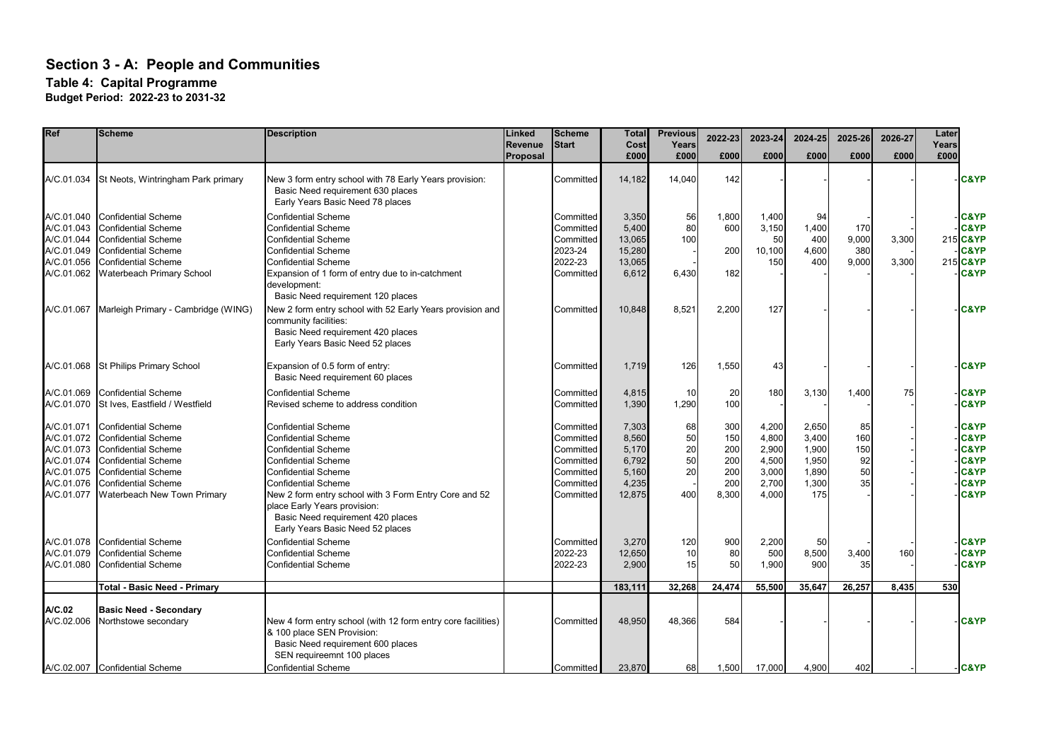| Ref                                                                                            | <b>Scheme</b>                                                                                                                                                                                                   | <b>Description</b><br>Linked<br>Revenue                                                                                                                                                                                                                                                                                                            |          | <b>Scheme</b><br><b>Start</b>                                                           | <b>Total</b><br>Cost                                         | <b>Previous</b><br>Years          | 2022-23                                         | 2023-24                                                     | 2024-25                                                   | 2025-26                            | 2026-27        | Later<br>Years |                                                                                                                                   |
|------------------------------------------------------------------------------------------------|-----------------------------------------------------------------------------------------------------------------------------------------------------------------------------------------------------------------|----------------------------------------------------------------------------------------------------------------------------------------------------------------------------------------------------------------------------------------------------------------------------------------------------------------------------------------------------|----------|-----------------------------------------------------------------------------------------|--------------------------------------------------------------|-----------------------------------|-------------------------------------------------|-------------------------------------------------------------|-----------------------------------------------------------|------------------------------------|----------------|----------------|-----------------------------------------------------------------------------------------------------------------------------------|
|                                                                                                |                                                                                                                                                                                                                 |                                                                                                                                                                                                                                                                                                                                                    | Proposal |                                                                                         | £000                                                         | £000                              | £000                                            | £000                                                        | £000                                                      | £000                               | £000           | £000           |                                                                                                                                   |
| A/C.01.034                                                                                     | St Neots, Wintringham Park primary                                                                                                                                                                              | New 3 form entry school with 78 Early Years provision:<br>Basic Need requirement 630 places<br>Early Years Basic Need 78 places                                                                                                                                                                                                                    |          | Committed                                                                               | 14,182                                                       | 14,040                            | 142                                             |                                                             |                                                           |                                    |                |                | <b>C&amp;YP</b>                                                                                                                   |
| A/C.01.040<br>A/C.01.043<br>A/C.01.044<br>A/C.01.049<br>A/C.01.056<br>A/C.01.062               | <b>Confidential Scheme</b><br><b>Confidential Scheme</b><br><b>Confidential Scheme</b><br><b>Confidential Scheme</b><br><b>Confidential Scheme</b><br>Waterbeach Primary School                                 | <b>Confidential Scheme</b><br><b>Confidential Scheme</b><br><b>Confidential Scheme</b><br><b>Confidential Scheme</b><br><b>Confidential Scheme</b><br>Expansion of 1 form of entry due to in-catchment<br>development:<br>Basic Need requirement 120 places                                                                                        |          | Committed<br>Committed<br>Committed<br>2023-24<br>2022-23<br>Committed                  | 3,350<br>5,400<br>13,065<br>15,280<br>13,065<br>6,612        | 56<br>80<br>100<br>6,430          | 1,800<br>600<br>200<br>182                      | 1,400<br>3,150<br>50<br>10,100<br>150                       | 94<br>1,400<br>400<br>4,600<br>400                        | 170<br>9,000<br>380<br>9,000       | 3,300<br>3,300 |                | <b>C&amp;YP</b><br><b>C&amp;YP</b><br>215 C&YP<br><b>C&amp;YP</b><br>215 C&YP<br><b>C&amp;YP</b>                                  |
| A/C.01.067                                                                                     | Marleigh Primary - Cambridge (WING)                                                                                                                                                                             | New 2 form entry school with 52 Early Years provision and<br>community facilities:<br>Basic Need requirement 420 places<br>Early Years Basic Need 52 places                                                                                                                                                                                        |          | Committed                                                                               | 10,848                                                       | 8,521                             | 2,200                                           | 127                                                         |                                                           |                                    |                |                | <b>C&amp;YP</b>                                                                                                                   |
| A/C.01.068                                                                                     | <b>St Philips Primary School</b>                                                                                                                                                                                | Expansion of 0.5 form of entry:<br>Basic Need requirement 60 places                                                                                                                                                                                                                                                                                |          | Committed                                                                               | 1,719                                                        | 126                               | 1,550                                           | 43                                                          |                                                           |                                    |                |                | <b>C&amp;YP</b>                                                                                                                   |
| A/C.01.069<br>A/C.01.070                                                                       | <b>Confidential Scheme</b><br>St Ives, Eastfield / Westfield                                                                                                                                                    | <b>Confidential Scheme</b><br>Revised scheme to address condition                                                                                                                                                                                                                                                                                  |          | Committed<br>Committed                                                                  | 4,815<br>1,390                                               | 10<br>1,290                       | 20<br>100                                       | 180                                                         | 3,130                                                     | 1,400                              | 75             |                | <b>C&amp;YP</b><br><b>C&amp;YP</b>                                                                                                |
| A/C.01.071<br>A/C.01.072<br>A/C.01.073<br>A/C.01.074<br>A/C.01.075<br>A/C.01.076<br>A/C.01.077 | <b>Confidential Scheme</b><br><b>Confidential Scheme</b><br><b>Confidential Scheme</b><br><b>Confidential Scheme</b><br><b>Confidential Scheme</b><br><b>Confidential Scheme</b><br>Waterbeach New Town Primary | <b>Confidential Scheme</b><br><b>Confidential Scheme</b><br><b>Confidential Scheme</b><br><b>Confidential Scheme</b><br><b>Confidential Scheme</b><br><b>Confidential Scheme</b><br>New 2 form entry school with 3 Form Entry Core and 52<br>place Early Years provision:<br>Basic Need requirement 420 places<br>Early Years Basic Need 52 places |          | Committed<br>Committed<br>Committed<br>Committed<br>Committed<br>Committed<br>Committed | 7,303<br>8,560<br>5.170<br>6,792<br>5,160<br>4,235<br>12,875 | 68<br>50<br>20<br>50<br>20<br>400 | 300<br>150<br>200<br>200<br>200<br>200<br>8,300 | 4,200<br>4,800<br>2,900<br>4,500<br>3,000<br>2,700<br>4,000 | 2,650<br>3,400<br>1,900<br>1,950<br>1,890<br>1,300<br>175 | 85<br>160<br>150<br>92<br>50<br>35 |                |                | <b>C&amp;YP</b><br><b>C&amp;YP</b><br><b>C&amp;YP</b><br><b>C&amp;YP</b><br><b>C&amp;YP</b><br><b>C&amp;YP</b><br><b>C&amp;YP</b> |
| A/C.01.078<br>A/C.01.079<br>A/C.01.080                                                         | <b>Confidential Scheme</b><br><b>Confidential Scheme</b><br><b>Confidential Scheme</b>                                                                                                                          | <b>Confidential Scheme</b><br><b>Confidential Scheme</b><br><b>Confidential Scheme</b>                                                                                                                                                                                                                                                             |          | Committed<br>2022-23<br>2022-23                                                         | 3,270<br>12,650<br>2,900                                     | 120<br>10<br>15                   | 900<br>80<br>50                                 | 2,200<br>500<br>1,900                                       | 50<br>8,500<br>900                                        | 3,400<br>35                        | 160            |                | <b>C&amp;YP</b><br><b>C&amp;YP</b><br><b>C&amp;YP</b>                                                                             |
|                                                                                                | Total - Basic Need - Primary                                                                                                                                                                                    |                                                                                                                                                                                                                                                                                                                                                    |          |                                                                                         | 183,111                                                      | 32,268                            | 24,474                                          | 55,500                                                      | 35,647                                                    | 26,257                             | 8,435          | 530            |                                                                                                                                   |
| A/C.02<br>A/C.02.006                                                                           | <b>Basic Need - Secondary</b><br>Northstowe secondary                                                                                                                                                           | New 4 form entry school (with 12 form entry core facilities)<br>& 100 place SEN Provision:<br>Basic Need requirement 600 places<br>SEN requireemnt 100 places                                                                                                                                                                                      |          | Committed                                                                               | 48,950                                                       | 48,366                            | 584                                             |                                                             |                                                           |                                    |                |                | <b>C&amp;YP</b>                                                                                                                   |
|                                                                                                | A/C.02.007 Confidential Scheme                                                                                                                                                                                  | <b>Confidential Scheme</b>                                                                                                                                                                                                                                                                                                                         |          | Committed                                                                               | 23,870                                                       | 68                                | 1,500                                           | 17,000                                                      | 4,900                                                     | 402                                |                |                | -C&YP                                                                                                                             |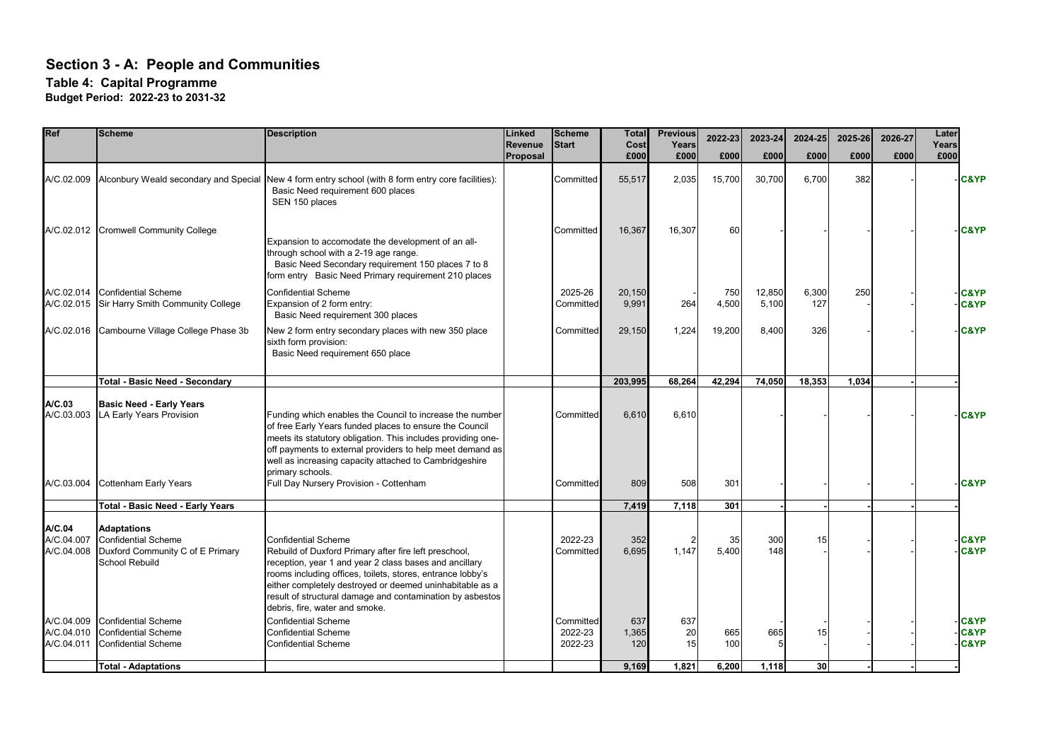#### **Table 4: Capital Programme**

| Ref                                    | <b>Scheme</b>                                                                                                 | <b>Description</b>                                                                                                                                                                                                                                                                                                                                                     | Linked<br><b>Revenue</b> | <b>Scheme</b><br><b>Start</b>   | <b>Total</b><br>Cost<br>£000 | <b>Previous</b><br>Years | 2022-23      | 2023-24         | 2024-25         | 2025-26 | 2026-27 | Later<br>Years |                                                       |
|----------------------------------------|---------------------------------------------------------------------------------------------------------------|------------------------------------------------------------------------------------------------------------------------------------------------------------------------------------------------------------------------------------------------------------------------------------------------------------------------------------------------------------------------|--------------------------|---------------------------------|------------------------------|--------------------------|--------------|-----------------|-----------------|---------|---------|----------------|-------------------------------------------------------|
|                                        |                                                                                                               |                                                                                                                                                                                                                                                                                                                                                                        | Proposal                 |                                 |                              | £000                     | £000         | £000            | £000            | £000    | £000    | £000           |                                                       |
| A/C.02.009                             |                                                                                                               | Alconbury Weald secondary and Special New 4 form entry school (with 8 form entry core facilities):<br>Basic Need requirement 600 places<br>SEN 150 places                                                                                                                                                                                                              |                          | Committed                       | 55,517                       | 2,035                    | 15,700       | 30,700          | 6.700           | 382     |         |                | <b>C&amp;YP</b>                                       |
|                                        | A/C.02.012 Cromwell Community College                                                                         | Expansion to accomodate the development of an all-<br>through school with a 2-19 age range.<br>Basic Need Secondary requirement 150 places 7 to 8<br>form entry Basic Need Primary requirement 210 places                                                                                                                                                              |                          | Committed                       | 16,367                       | 16,307                   | 60           |                 |                 |         |         |                | <b>C&amp;YP</b>                                       |
| A/C.02.014<br>A/C.02.015               | <b>Confidential Scheme</b><br>Sir Harry Smith Community College                                               | <b>Confidential Scheme</b><br>Expansion of 2 form entry:<br>Basic Need requirement 300 places                                                                                                                                                                                                                                                                          |                          | 2025-26<br>Committed            | 20,150<br>9,991              | 264                      | 750<br>4,500 | 12,850<br>5,100 | 6,300<br>127    | 250     |         |                | <b>C&amp;YP</b><br><b>C&amp;YP</b>                    |
|                                        | A/C.02.016 Cambourne Village College Phase 3b                                                                 | New 2 form entry secondary places with new 350 place<br>sixth form provision:<br>Basic Need requirement 650 place                                                                                                                                                                                                                                                      |                          | Committed                       | 29,150                       | 1,224                    | 19,200       | 8,400           | 326             |         |         |                | <b>C&amp;YP</b>                                       |
|                                        | <b>Total - Basic Need - Secondary</b>                                                                         |                                                                                                                                                                                                                                                                                                                                                                        |                          |                                 | 203,995                      | 68,264                   | 42,294       | 74,050          | 18,353          | 1,034   |         |                |                                                       |
| A/C.03<br>A/C.03.003                   | <b>Basic Need - Early Years</b><br>LA Early Years Provision                                                   | Funding which enables the Council to increase the number<br>of free Early Years funded places to ensure the Council<br>meets its statutory obligation. This includes providing one-<br>off payments to external providers to help meet demand as<br>well as increasing capacity attached to Cambridgeshire<br>primary schools.                                         |                          | Committed                       | 6,610                        | 6.610                    |              |                 |                 |         |         |                | <b>C&amp;YP</b>                                       |
| A/C.03.004                             | <b>Cottenham Early Years</b>                                                                                  | Full Day Nursery Provision - Cottenham                                                                                                                                                                                                                                                                                                                                 |                          | <b>Committed</b>                | 809                          | 508                      | 301          |                 |                 |         |         |                | <b>C&amp;YP</b>                                       |
|                                        | <b>Total - Basic Need - Early Years</b>                                                                       |                                                                                                                                                                                                                                                                                                                                                                        |                          |                                 | 7,419                        | 7,118                    | 301          |                 |                 |         |         |                |                                                       |
| A/C.04<br>A/C.04.007<br>A/C.04.008     | <b>Adaptations</b><br><b>Confidential Scheme</b><br>Duxford Community C of E Primary<br><b>School Rebuild</b> | <b>Confidential Scheme</b><br>Rebuild of Duxford Primary after fire left preschool,<br>reception, year 1 and year 2 class bases and ancillary<br>rooms including offices, toilets, stores, entrance lobby's<br>either completely destroyed or deemed uninhabitable as a<br>result of structural damage and contamination by asbestos<br>debris, fire, water and smoke. |                          | 2022-23<br>Committed            | 352<br>6.695                 | 1.147                    | 35<br>5,400  | 300<br>148      | 15              |         |         |                | <b>C&amp;YP</b><br><b>C&amp;YP</b>                    |
| A/C.04.009<br>A/C.04.010<br>A/C.04.011 | <b>Confidential Scheme</b><br><b>Confidential Scheme</b><br><b>Confidential Scheme</b>                        | <b>Confidential Scheme</b><br><b>Confidential Scheme</b><br><b>Confidential Scheme</b>                                                                                                                                                                                                                                                                                 |                          | Committed<br>2022-23<br>2022-23 | 637<br>1,365<br>120          | 637<br>20<br>15          | 665<br>100   | 665             | 15              |         |         |                | <b>C&amp;YP</b><br><b>C&amp;YP</b><br><b>C&amp;YP</b> |
|                                        | <b>Total - Adaptations</b>                                                                                    |                                                                                                                                                                                                                                                                                                                                                                        |                          |                                 | 9,169                        | 1,821                    | 6,200        | 1,118           | 30 <sup>1</sup> |         |         |                |                                                       |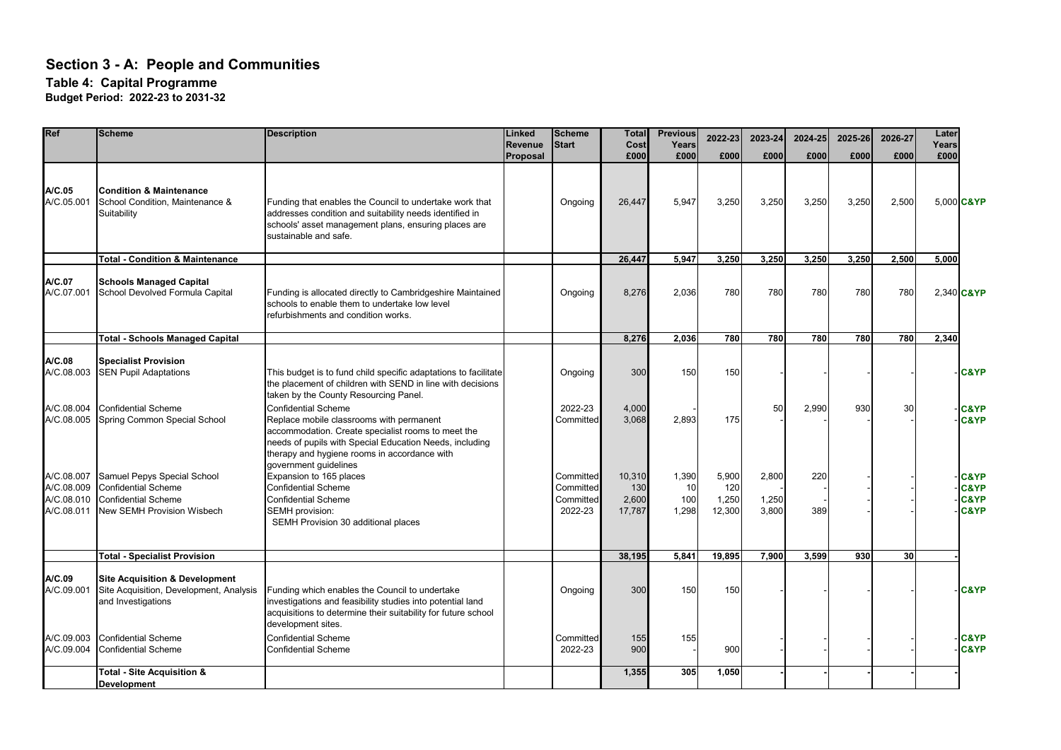| Ref                                                  | <b>Scheme</b>                                                                                                                | <b>Description</b>                                                                                                                                                                                                                      | Linked<br>Revenue | <b>Scheme</b><br><b>Start</b>                  | <b>Total</b><br>Cost             | <b>Previous</b><br>Years    | 2022-23                         | 2023-24                 | 2024-25    | 2025-26    | 2026-27         | Later<br>Years |                                                                          |
|------------------------------------------------------|------------------------------------------------------------------------------------------------------------------------------|-----------------------------------------------------------------------------------------------------------------------------------------------------------------------------------------------------------------------------------------|-------------------|------------------------------------------------|----------------------------------|-----------------------------|---------------------------------|-------------------------|------------|------------|-----------------|----------------|--------------------------------------------------------------------------|
|                                                      |                                                                                                                              |                                                                                                                                                                                                                                         | Proposal          |                                                | £000                             | £000                        | £000                            | £000                    | £000       | £000       | £000            | £000           |                                                                          |
| AC.05<br>A/C.05.001                                  | <b>Condition &amp; Maintenance</b><br>School Condition, Maintenance &<br>Suitability                                         | Funding that enables the Council to undertake work that<br>addresses condition and suitability needs identified in<br>schools' asset management plans, ensuring places are<br>sustainable and safe.                                     |                   | Ongoing                                        | 26,447                           | 5,947                       | 3,250                           | 3,250                   | 3.250      | 3,250      | 2,500           | 5,000 C&YP     |                                                                          |
|                                                      | <b>Total - Condition &amp; Maintenance</b>                                                                                   |                                                                                                                                                                                                                                         |                   |                                                | 26,447                           | 5,947                       | 3,250                           | 3,250                   | 3,250      | 3,250      | 2,500           | 5,000          |                                                                          |
| A/C.07<br>A/C.07.001                                 | <b>Schools Managed Capital</b><br>School Devolved Formula Capital                                                            | Funding is allocated directly to Cambridgeshire Maintained<br>schools to enable them to undertake low level<br>refurbishments and condition works.                                                                                      |                   | Ongoing                                        | 8,276                            | 2,036                       | 780                             | 780                     | 780        | 780        | 780             | 2,340 C&YP     |                                                                          |
|                                                      | <b>Total - Schools Managed Capital</b>                                                                                       |                                                                                                                                                                                                                                         |                   |                                                | 8,276                            | 2,036                       | 780                             | 780                     | 780        | <b>780</b> | 780             | 2,340          |                                                                          |
| A/C.08<br>A/C.08.003                                 | <b>Specialist Provision</b><br><b>SEN Pupil Adaptations</b>                                                                  | This budget is to fund child specific adaptations to facilitate<br>the placement of children with SEND in line with decisions<br>taken by the County Resourcing Panel.                                                                  |                   | Ongoing                                        | 300                              | 150                         | 150                             |                         |            |            |                 |                | <b>C&amp;YP</b>                                                          |
| A/C.08.004<br>A/C.08.005                             | <b>Confidential Scheme</b><br>Spring Common Special School                                                                   | <b>Confidential Scheme</b><br>Replace mobile classrooms with permanent<br>accommodation. Create specialist rooms to meet the<br>needs of pupils with Special Education Needs, including<br>therapy and hygiene rooms in accordance with |                   | 2022-23<br>Committed                           | 4,000<br>3,068                   | 2,893                       | 175                             | 50                      | 2,990      | 930        | 30              |                | <b>C&amp;YP</b><br><b>C&amp;YP</b>                                       |
| A/C.08.007<br>A/C.08.009<br>A/C.08.010<br>A/C.08.011 | Samuel Pepys Special School<br><b>Confidential Scheme</b><br><b>Confidential Scheme</b><br><b>New SEMH Provision Wisbech</b> | government guidelines<br>Expansion to 165 places<br><b>Confidential Scheme</b><br><b>Confidential Scheme</b><br><b>SEMH</b> provision:<br>SEMH Provision 30 additional places                                                           |                   | Committed<br>Committed<br>Committed<br>2022-23 | 10,310<br>130<br>2,600<br>17,787 | 1,390<br>10<br>100<br>1,298 | 5,900<br>120<br>1,250<br>12,300 | 2,800<br>1,250<br>3,800 | 220<br>389 |            |                 |                | <b>C&amp;YP</b><br><b>C&amp;YP</b><br><b>C&amp;YP</b><br><b>C&amp;YP</b> |
|                                                      | <b>Total - Specialist Provision</b>                                                                                          |                                                                                                                                                                                                                                         |                   |                                                | 38,195                           | 5,841                       | 19,895                          | 7,900                   | 3.599      | 930        | 30 <sup>1</sup> |                |                                                                          |
| A/C.09<br>A/C.09.001                                 | <b>Site Acquisition &amp; Development</b><br>Site Acquisition, Development, Analysis<br>and Investigations                   | Funding which enables the Council to undertake<br>investigations and feasibility studies into potential land<br>acquisitions to determine their suitability for future school<br>development sites.                                     |                   | Ongoing                                        | 300                              | 150                         | 150                             |                         |            |            |                 |                | <b>C&amp;YP</b>                                                          |
| A/C.09.003<br>A/C.09.004                             | <b>Confidential Scheme</b><br><b>Confidential Scheme</b>                                                                     | <b>Confidential Scheme</b><br><b>Confidential Scheme</b>                                                                                                                                                                                |                   | Committed<br>2022-23                           | 155<br>900                       | 155                         | 900                             |                         |            |            |                 |                | <b>C&amp;YP</b><br><b>C&amp;YP</b>                                       |
|                                                      | Total - Site Acquisition &<br><b>Development</b>                                                                             |                                                                                                                                                                                                                                         |                   |                                                | 1,355                            | 305                         | 1,050                           |                         |            |            |                 |                |                                                                          |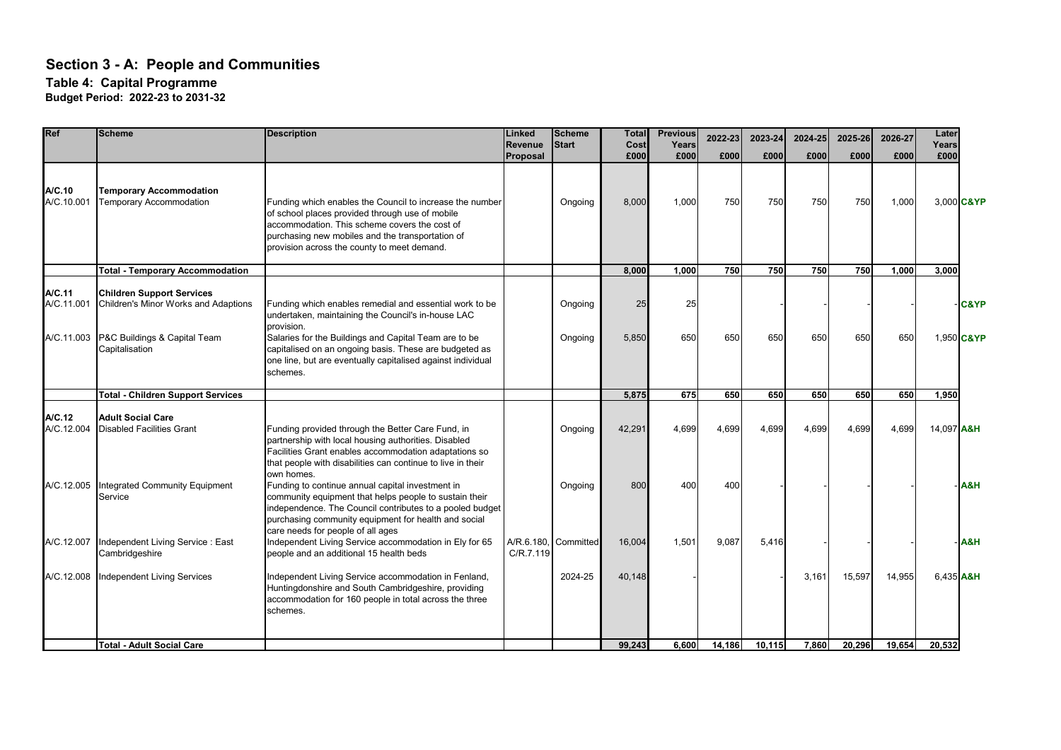| Ref                                | <b>Scheme</b>                                                                                                              | <b>Description</b>                                                                                                                                                                                                                                                                                            | Linked<br><b>Revenue</b> | <b>Scheme</b><br><b>Start</b> | <b>Total</b><br>Cost | <b>Previous</b><br>Years | 2022-23 | 2023-24 | 2024-25 | 2025-26 | 2026-27 | Later<br>Years |                               |
|------------------------------------|----------------------------------------------------------------------------------------------------------------------------|---------------------------------------------------------------------------------------------------------------------------------------------------------------------------------------------------------------------------------------------------------------------------------------------------------------|--------------------------|-------------------------------|----------------------|--------------------------|---------|---------|---------|---------|---------|----------------|-------------------------------|
|                                    |                                                                                                                            |                                                                                                                                                                                                                                                                                                               | Proposal                 |                               | £000                 | £000                     | £000    | £000    | £000    | £000    | £000    | £000           |                               |
| A/C.10<br>A/C.10.001               | <b>Temporary Accommodation</b><br><b>Temporary Accommodation</b>                                                           | Funding which enables the Council to increase the number<br>of school places provided through use of mobile<br>accommodation. This scheme covers the cost of<br>purchasing new mobiles and the transportation of<br>provision across the county to meet demand.                                               |                          | Ongoing                       | 8,000                | 1,000                    | 750     | 750     | 750     | 750     | 1,000   |                | 3,000 C&YP                    |
|                                    | <b>Total - Temporary Accommodation</b>                                                                                     |                                                                                                                                                                                                                                                                                                               |                          |                               | 8,000                | 1.000                    | 750     | 750     | 750     | 750     | 1.000   | 3,000          |                               |
| A/C.11<br>A/C.11.001<br>A/C.11.003 | <b>Children Support Services</b><br>Children's Minor Works and Adaptions<br>P&C Buildings & Capital Team<br>Capitalisation | Funding which enables remedial and essential work to be<br>undertaken, maintaining the Council's in-house LAC<br>provision.<br>Salaries for the Buildings and Capital Team are to be<br>capitalised on an ongoing basis. These are budgeted as<br>one line, but are eventually capitalised against individual |                          | Ongoing<br>Ongoing            | 25<br>5,850          | 25<br>650                | 650     | 650     | 650     | 650     | 650     |                | <b>C&amp;YP</b><br>1,950 C&YP |
|                                    |                                                                                                                            | schemes.                                                                                                                                                                                                                                                                                                      |                          |                               |                      |                          |         |         |         |         |         |                |                               |
|                                    | Total - Children Support Services                                                                                          |                                                                                                                                                                                                                                                                                                               |                          |                               | 5,875                | 675                      | 650     | 650     | 650     | 650     | 650     | 1,950          |                               |
| A/C.12<br>A/C.12.004               | <b>Adult Social Care</b><br><b>Disabled Facilities Grant</b>                                                               | Funding provided through the Better Care Fund, in<br>partnership with local housing authorities. Disabled<br>Facilities Grant enables accommodation adaptations so<br>that people with disabilities can continue to live in their                                                                             |                          | Ongoing                       | 42,291               | 4.699                    | 4,699   | 4,699   | 4,699   | 4,699   | 4,699   | 14,097 A&H     |                               |
| A/C.12.005                         | Integrated Community Equipment<br>Service                                                                                  | own homes.<br>Funding to continue annual capital investment in<br>community equipment that helps people to sustain their<br>independence. The Council contributes to a pooled budget<br>purchasing community equipment for health and social<br>care needs for people of all ages                             |                          | Ongoing                       | 800                  | 400                      | 400     |         |         |         |         |                | A&H                           |
| A/C.12.007                         | Independent Living Service: East<br>Cambridgeshire                                                                         | Independent Living Service accommodation in Ely for 65<br>people and an additional 15 health beds                                                                                                                                                                                                             | A/R.6.180.<br>C/R.7.119  | Committed                     | 16,004               | 1.501                    | 9.087   | 5.416   |         |         |         |                | A&H                           |
| A/C.12.008                         | <b>Independent Living Services</b>                                                                                         | Independent Living Service accommodation in Fenland,<br>Huntingdonshire and South Cambridgeshire, providing<br>accommodation for 160 people in total across the three<br>schemes.                                                                                                                             |                          | 2024-25                       | 40,148               |                          |         |         | 3,161   | 15,597  | 14,955  | 6.435 A&H      |                               |
|                                    | <b>Total - Adult Social Care</b>                                                                                           |                                                                                                                                                                                                                                                                                                               |                          |                               | 99.243               | 6.600                    | 14.186  | 10.115  | 7.860   | 20.296  | 19.654  | 20.532         |                               |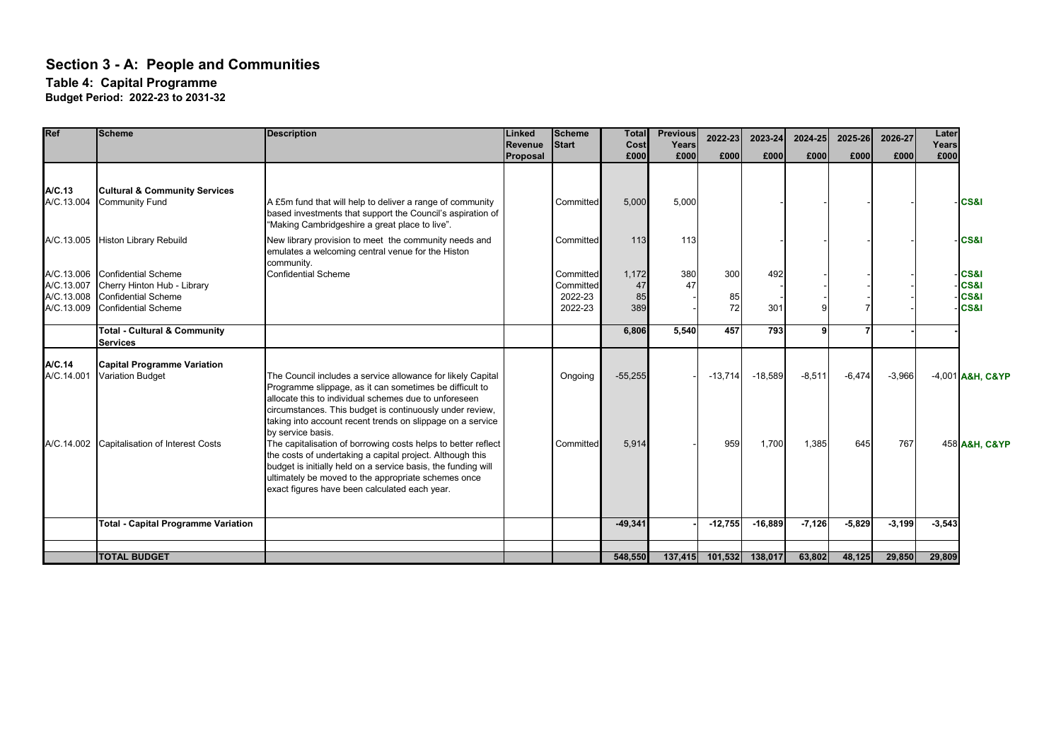**Table 4: Capital Programme**

| Ref                                                  | <b>Scheme</b>                                                                                                  | <b>Description</b>                                                                                                                                                                                                                                                                                                             | Linked<br><b>Revenue</b><br>Proposal | <b>Scheme</b><br><b>Start</b>                | <b>Total</b><br>Cost<br>£000 | <b>Previous</b><br>Years<br>£000 | 2022-23<br>£000 | 2023-24<br>£000 | 2024-25<br>£000 | 2025-26<br>£000 | 2026-27<br>£000 | Later<br>Years<br>£000 |                                                                 |
|------------------------------------------------------|----------------------------------------------------------------------------------------------------------------|--------------------------------------------------------------------------------------------------------------------------------------------------------------------------------------------------------------------------------------------------------------------------------------------------------------------------------|--------------------------------------|----------------------------------------------|------------------------------|----------------------------------|-----------------|-----------------|-----------------|-----------------|-----------------|------------------------|-----------------------------------------------------------------|
| A/C.13<br>A/C.13.004                                 | <b>Cultural &amp; Community Services</b><br><b>Community Fund</b>                                              | A £5m fund that will help to deliver a range of community<br>based investments that support the Council's aspiration of                                                                                                                                                                                                        |                                      | Committed                                    | 5,000                        | 5,000                            |                 |                 |                 |                 |                 |                        | -ICS&I                                                          |
| A/C.13.005                                           | <b>Histon Library Rebuild</b>                                                                                  | "Making Cambridgeshire a great place to live".<br>New library provision to meet the community needs and<br>emulates a welcoming central venue for the Histon<br>community.                                                                                                                                                     |                                      | Committed                                    | 113                          | 113                              |                 |                 |                 |                 |                 |                        | <b>ICS&amp;I</b>                                                |
| A/C.13.006<br>A/C.13.007<br>A/C.13.008<br>A/C.13.009 | <b>Confidential Scheme</b><br>Cherry Hinton Hub - Library<br>Confidential Scheme<br><b>Confidential Scheme</b> | <b>Confidential Scheme</b>                                                                                                                                                                                                                                                                                                     |                                      | Committed<br>Committed<br>2022-23<br>2022-23 | 1,172<br>47<br>85<br>389     | 380<br>47                        | 300<br>85<br>72 | 492<br>301      |                 |                 |                 |                        | -ICS&I<br><b>CS&amp;I</b><br><b>CS&amp;I</b><br><b>CS&amp;I</b> |
|                                                      | <b>Total - Cultural &amp; Community</b><br><b>Services</b>                                                     |                                                                                                                                                                                                                                                                                                                                |                                      |                                              | 6,806                        | 5,540                            | 457             | 793             | 9               |                 |                 |                        |                                                                 |
| A/C.14<br>A/C.14.001                                 | <b>Capital Programme Variation</b><br><b>Variation Budget</b>                                                  | The Council includes a service allowance for likely Capital<br>Programme slippage, as it can sometimes be difficult to<br>allocate this to individual schemes due to unforeseen<br>circumstances. This budget is continuously under review,<br>taking into account recent trends on slippage on a service<br>by service basis. |                                      | Ongoing                                      | $-55,255$                    |                                  | $-13,714$       | $-18,589$       | $-8,511$        | $-6,474$        | $-3,966$        |                        | -4,001 A&H, C&YP                                                |
|                                                      | A/C.14.002 Capitalisation of Interest Costs                                                                    | The capitalisation of borrowing costs helps to better reflect<br>the costs of undertaking a capital project. Although this<br>budget is initially held on a service basis, the funding will<br>ultimately be moved to the appropriate schemes once<br>exact figures have been calculated each year.                            |                                      | Committed                                    | 5,914                        |                                  | 959             | 1,700           | 1,385           | 645             | 767             |                        | 458 A&H, C&YP                                                   |
|                                                      | <b>Total - Capital Programme Variation</b>                                                                     |                                                                                                                                                                                                                                                                                                                                |                                      |                                              | $-49,341$                    |                                  | $-12,755$       | $-16,889$       | $-7,126$        | $-5,829$        | $-3,199$        | $-3,543$               |                                                                 |
|                                                      | <b>TOTAL BUDGET</b>                                                                                            |                                                                                                                                                                                                                                                                                                                                |                                      |                                              | 548,550                      |                                  | 137,415 101,532 | 138,017         | 63,802          | 48,125          | 29,850          | 29,809                 |                                                                 |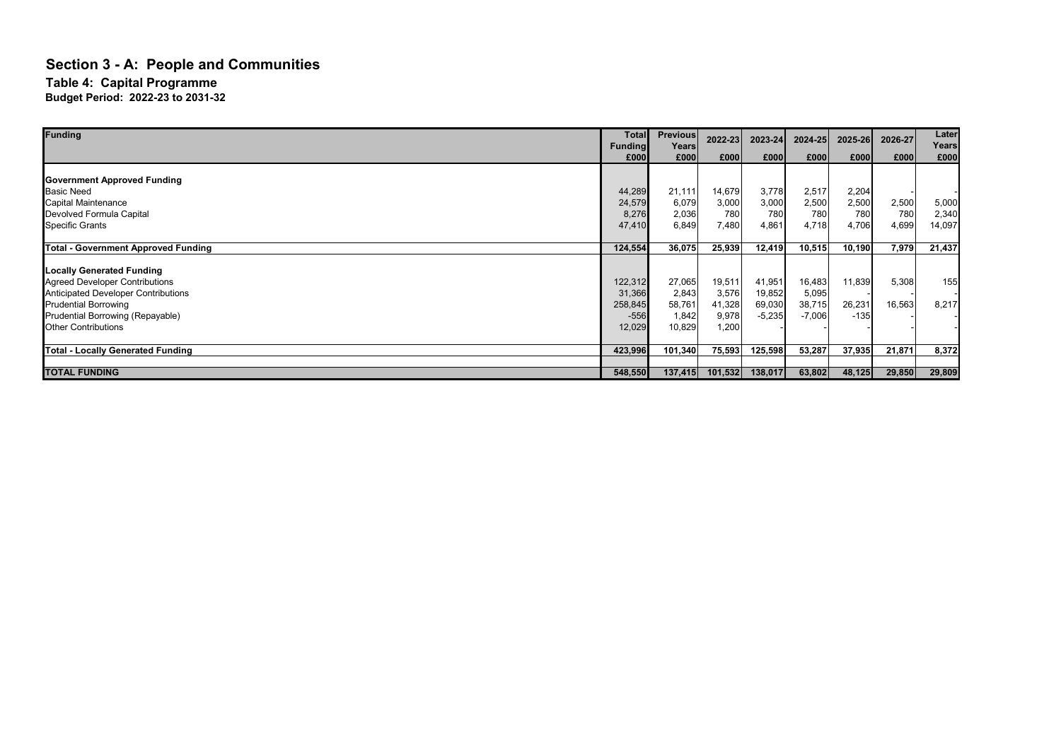| <b>Funding</b>                             | <b>Total</b><br><b>Funding</b> | <b>Previous</b><br>Years | 2022-23 | 2023-24  | 2024-25  | 2025-26 | 2026-27 | Later<br>Years |
|--------------------------------------------|--------------------------------|--------------------------|---------|----------|----------|---------|---------|----------------|
|                                            | £000                           | £000                     | £000    | £000     | £000     | £000    | £000    | £000           |
|                                            |                                |                          |         |          |          |         |         |                |
| <b>Government Approved Funding</b>         |                                |                          |         |          |          |         |         |                |
| <b>Basic Need</b>                          | 44,289                         | 21,111                   | 14,679  | 3,778    | 2,517    | 2,204   |         |                |
| Capital Maintenance                        | 24,579                         | 6,079                    | 3,000   | 3,000    | 2,500    | 2,500   | 2,500   | 5,000          |
| Devolved Formula Capital                   | 8,276                          | 2,036                    | 780     | 780      | 780      | 780     | 780     | 2,340          |
| <b>Specific Grants</b>                     | 47,410                         | 6,849                    | 7,480   | 4,861    | 4,718    | 4,706   | 4,699   | 14,097         |
| <b>Total - Government Approved Funding</b> | 124,554                        | 36,075                   | 25,939  | 12,419   | 10,515   | 10,190  | 7,979   | 21,437         |
|                                            |                                |                          |         |          |          |         |         |                |
| <b>Locally Generated Funding</b>           |                                |                          |         |          |          |         |         |                |
| <b>Agreed Developer Contributions</b>      | 122,312                        | 27,065                   | 19,511  | 41,951   | 16,483   | 11,839  | 5,308   | 155            |
| <b>Anticipated Developer Contributions</b> | 31,366                         | 2,843                    | 3,576   | 19,852   | 5,095    |         |         |                |
| <b>Prudential Borrowing</b>                | 258,845                        | 58,761                   | 41,328  | 69,030   | 38,715   | 26,231  | 16,563  | 8,217          |
| Prudential Borrowing (Repayable)           | $-556$                         | 1,842                    | 9,978   | $-5,235$ | $-7,006$ | $-135$  |         |                |
| <b>Other Contributions</b>                 | 12,029                         | 10,829                   | 1,200   |          |          |         |         |                |
| <b>Total - Locally Generated Funding</b>   | 423,996                        | 101,340                  | 75,593  | 125,598  | 53,287   | 37,935  | 21,871  | 8,372          |
|                                            |                                |                          |         |          |          |         |         |                |
| <b>TOTAL FUNDING</b>                       | 548,550                        | 137,415                  | 101,532 | 138,017  | 63,802   | 48,125  | 29,850  | 29,809         |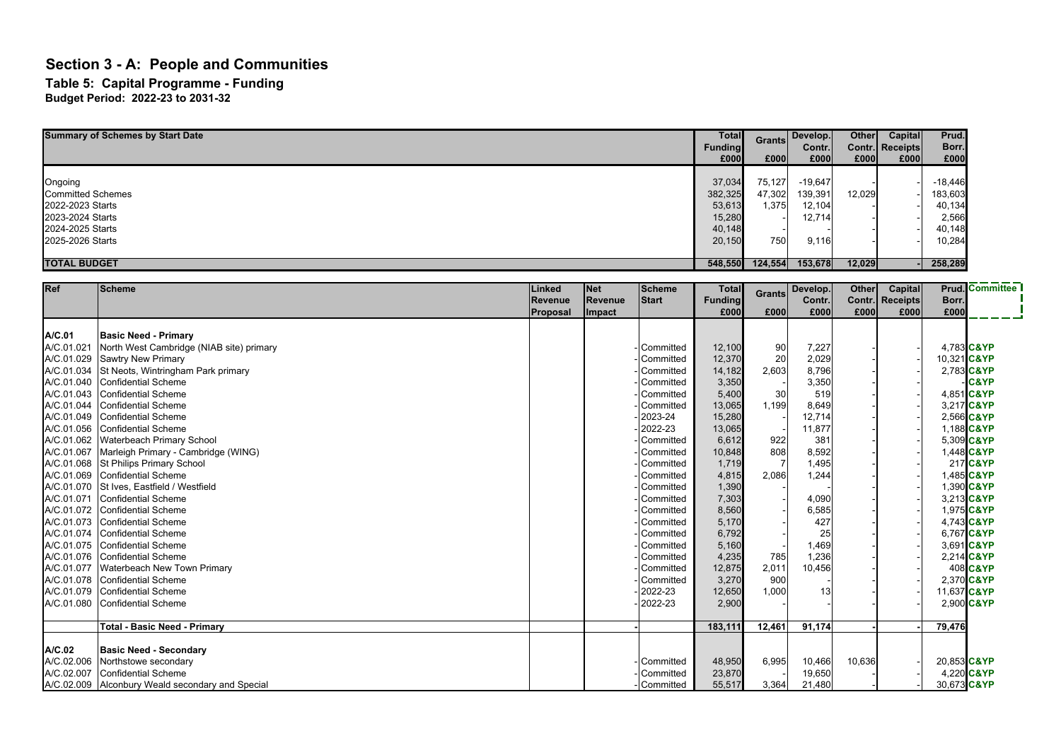### **Section 3 - A: People and Communities Table 5: Capital Programme - Funding**

| <b>Summary of Schemes by Start Date</b> | Total<br>Funding<br>£000l | <b>Grants</b><br>£000 | Develop.<br>Contr.<br>£000 | <b>Other</b><br>£000 | Capital<br>Contr. Receipts<br>£000 | Prud.<br>Borr.<br>£000 |
|-----------------------------------------|---------------------------|-----------------------|----------------------------|----------------------|------------------------------------|------------------------|
|                                         |                           |                       |                            |                      |                                    |                        |
| Ongoing                                 | 37,034                    | 75,127                | $-19,647$                  |                      |                                    | $-18,446$              |
| <b>Committed Schemes</b>                | 382,325                   | 47,302                | 139,391                    | 12,029               |                                    | 183,603                |
| 2022-2023 Starts                        | 53,613                    | 1,375                 | 12,104                     |                      |                                    | 40,134                 |
| 2023-2024 Starts                        | 15,280                    |                       | 12,714                     |                      |                                    | 2,566                  |
| 2024-2025 Starts                        | 40,148                    |                       |                            |                      |                                    | 40,148                 |
| 2025-2026 Starts                        | 20,150                    | 750                   | 9,116                      |                      |                                    | 10,284                 |
|                                         |                           |                       |                            |                      |                                    |                        |
| <b>TOTAL BUDGET</b>                     | 548,550                   | 124,554               | 153,678                    | 12,029               |                                    | 258,289                |

| Ref        | <b>Scheme</b>                                    | Linked<br>Revenue | Net<br>Revenue | <b>Scheme</b><br><b>Start</b> | <b>Total</b><br><b>Funding</b> | <b>Grants</b> | Develop.<br>Contr. | <b>Other</b> | Capital<br>Contr. Receipts | Borr.       | <b>Prud.</b> Committee |
|------------|--------------------------------------------------|-------------------|----------------|-------------------------------|--------------------------------|---------------|--------------------|--------------|----------------------------|-------------|------------------------|
|            |                                                  | Proposal          | Impact         |                               | £000                           | £000          | £000               | £000         | £000                       | £000        |                        |
|            |                                                  |                   |                |                               |                                |               |                    |              |                            |             |                        |
| A/C.01     | <b>Basic Need - Primary</b>                      |                   |                |                               |                                |               |                    |              |                            |             |                        |
| A/C.01.021 | North West Cambridge (NIAB site) primary         |                   |                | Committed                     | 12,100                         | 90            | 7,227              |              |                            | 4.783 C&YP  |                        |
| A/C.01.029 | <b>Sawtry New Primary</b>                        |                   |                | Committed                     | 12,370                         | 20            | 2,029              |              |                            | 10,321 C&YP |                        |
| A/C.01.034 | St Neots, Wintringham Park primary               |                   |                | Committed                     | 14,182                         | 2,603         | 8,796              |              |                            | 2,783 C&YP  |                        |
| A/C.01.040 | Confidential Scheme                              |                   |                | Committed                     | 3,350                          |               | 3,350              |              |                            |             | <b>C&amp;YP</b>        |
| A/C.01.043 | Confidential Scheme                              |                   |                | Committed                     | 5,400                          | 30            | 519                |              |                            | 4,851 C&YP  |                        |
| A/C.01.044 | <b>Confidential Scheme</b>                       |                   |                | Committed                     | 13,065                         | 1.199         | 8,649              |              |                            | 3,217 C&YP  |                        |
| A/C.01.049 | Confidential Scheme                              |                   |                | 2023-24                       | 15,280                         |               | 12,714             |              |                            | 2.566 C&YP  |                        |
| A/C.01.056 | <b>Confidential Scheme</b>                       |                   |                | 2022-23                       | 13,065                         |               | 11,877             |              |                            | 1.188 C&YP  |                        |
| A/C.01.062 | Waterbeach Primary School                        |                   |                | Committed                     | 6,612                          | 922           | 381                |              |                            | 5,309 C&YP  |                        |
| A/C.01.067 | Marleigh Primary - Cambridge (WING)              |                   |                | Committed                     | 10,848                         | 808           | 8,592              |              |                            | 1,448 C&YP  |                        |
|            | A/C.01.068 St Philips Primary School             |                   |                | Committed                     | 1,719                          |               | 1,495              |              |                            |             | 217 C&YP               |
| A/C.01.069 | <b>Confidential Scheme</b>                       |                   |                | Committed                     | 4,815                          | 2,086         | 1,244              |              |                            | 1,485 C&YP  |                        |
| A/C.01.070 | St Ives, Eastfield / Westfield                   |                   |                | Committed                     | 1,390                          |               |                    |              |                            |             | 1,390 C&YP             |
| A/C.01.071 | Confidential Scheme                              |                   |                | Committed                     | 7,303                          |               | 4,090              |              |                            | 3,213 C&YP  |                        |
| A/C.01.072 | Confidential Scheme                              |                   |                | Committed                     | 8,560                          |               | 6,585              |              |                            | 1,975 C&YP  |                        |
| A/C.01.073 | Confidential Scheme                              |                   |                | Committed                     | 5,170                          |               | 427                |              |                            | 4,743 C&YP  |                        |
| A/C.01.074 | <b>Confidential Scheme</b>                       |                   |                | Committed                     | 6,792                          |               | 25                 |              |                            | 6,767 C&YP  |                        |
| A/C.01.075 | Confidential Scheme                              |                   |                | Committed                     | 5,160                          |               | 1,469              |              |                            | 3,691 C&YP  |                        |
| A/C.01.076 | Confidential Scheme                              |                   |                | Committed                     | 4,235                          | 785           | 1,236              |              |                            | 2,214 C&YP  |                        |
| A/C.01.077 | Waterbeach New Town Primary                      |                   |                | Committed                     | 12,875                         | 2,011         | 10,456             |              |                            |             | 408 C&YP               |
| A/C.01.078 | <b>Confidential Scheme</b>                       |                   |                | Committed                     | 3,270                          | 900           |                    |              |                            | 2,370 C&YP  |                        |
|            | A/C.01.079 Confidential Scheme                   |                   |                | 2022-23                       | 12,650                         | 1,000         | 13                 |              |                            | 11.637 C&YP |                        |
| A/C.01.080 | Confidential Scheme                              |                   |                | 2022-23                       | 2,900                          |               |                    |              |                            | 2,900 C&YP  |                        |
|            |                                                  |                   |                |                               |                                |               | 91,174             |              |                            |             |                        |
|            | <b>Total - Basic Need - Primary</b>              |                   |                |                               | 183,111                        | 12,461        |                    |              |                            | 79,476      |                        |
| A/C.02     | <b>Basic Need - Secondary</b>                    |                   |                |                               |                                |               |                    |              |                            |             |                        |
| A/C.02.006 | Northstowe secondary                             |                   |                | Committed                     | 48,950                         | 6,995         | 10,466             | 10,636       |                            | 20,853 C&YP |                        |
| A/C.02.007 | Confidential Scheme                              |                   |                | Committed                     | 23,870                         |               | 19,650             |              |                            | 4,220 C&YP  |                        |
|            | A/C.02.009 Alconbury Weald secondary and Special |                   |                | Committed                     | 55,517                         | 3,364         | 21,480             |              |                            | 30,673 C&YP |                        |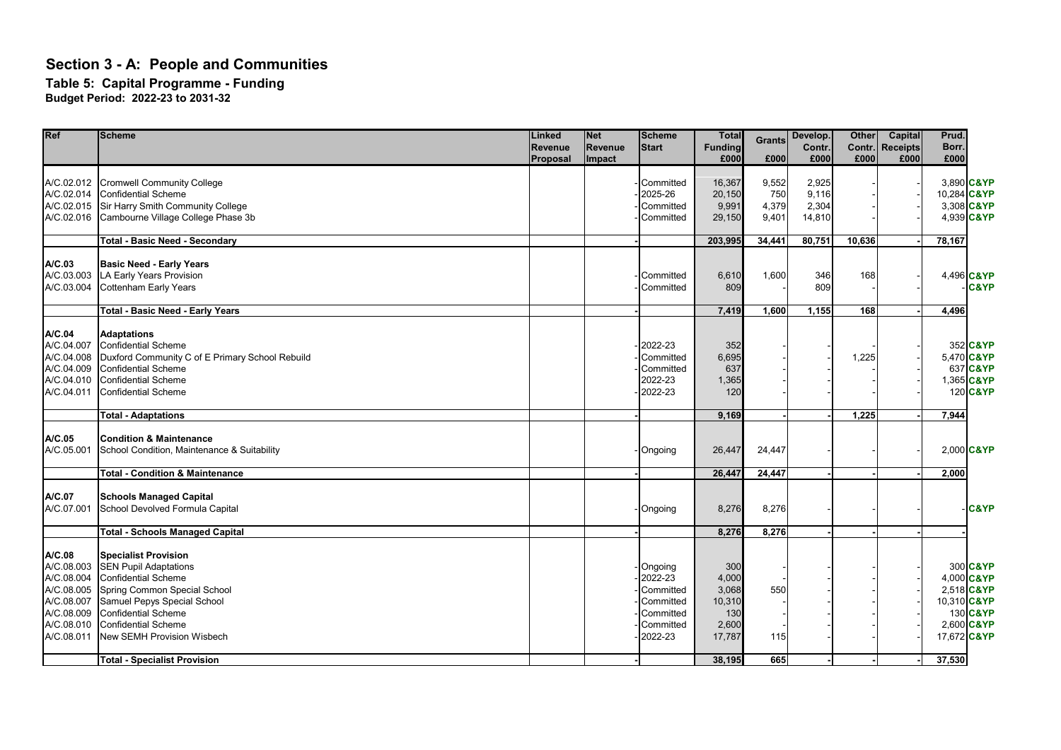#### **Table 5: Capital Programme - Funding**

| Ref                                                                                                      | <b>Scheme</b>                                                                                                                                                                                                                                      | Linked<br><b>Revenue</b><br>Proposal | <b>Net</b><br>Revenue<br>Impact | <b>Scheme</b><br><b>Start</b>                                                     | <b>Total</b><br><b>Funding</b><br>£000                    | <b>Grants</b><br>£000          | Develop.<br>Contr.<br>£000        | <b>Other</b><br>£000 | <b>Capital</b><br>Contr. Receipts<br>£000 | Prud.<br>Borr.<br>£000                  |                                                                |
|----------------------------------------------------------------------------------------------------------|----------------------------------------------------------------------------------------------------------------------------------------------------------------------------------------------------------------------------------------------------|--------------------------------------|---------------------------------|-----------------------------------------------------------------------------------|-----------------------------------------------------------|--------------------------------|-----------------------------------|----------------------|-------------------------------------------|-----------------------------------------|----------------------------------------------------------------|
| A/C.02.012<br>A/C.02.014<br>A/C.02.015<br>A/C.02.016                                                     | <b>Cromwell Community College</b><br><b>Confidential Scheme</b><br>Sir Harry Smith Community College<br>Cambourne Village College Phase 3b                                                                                                         |                                      |                                 | Committed<br>2025-26<br>Committed<br>Committed                                    | 16,367<br>20,150<br>9,991<br>29,150                       | 9,552<br>750<br>4,379<br>9,401 | 2,925<br>9.116<br>2,304<br>14,810 |                      |                                           | 10,284 C&YP<br>3,308 C&YP<br>4,939 C&YP | 3,890 C&YP                                                     |
|                                                                                                          | <b>Total - Basic Need - Secondary</b>                                                                                                                                                                                                              |                                      |                                 |                                                                                   | 203,995                                                   | 34,441                         | 80,751                            | 10,636               |                                           | 78,167                                  |                                                                |
| A/C.03<br>A/C.03.003<br>A/C.03.004                                                                       | <b>Basic Need - Early Years</b><br>LA Early Years Provision<br>Cottenham Early Years                                                                                                                                                               |                                      |                                 | Committed<br>Committed                                                            | 6,610<br>809                                              | 1,600                          | 346<br>809                        | 168                  |                                           |                                         | 4,496 C&YP<br><b>C&amp;YP</b>                                  |
|                                                                                                          | <b>Total - Basic Need - Early Years</b>                                                                                                                                                                                                            |                                      |                                 |                                                                                   | 7,419                                                     | 1,600                          | 1,155                             | 168                  |                                           | 4,496                                   |                                                                |
| A/C.04<br>A/C.04.007<br>A/C.04.008<br>A/C.04.009<br>A/C.04.010<br>A/C.04.011                             | <b>Adaptations</b><br><b>Confidential Scheme</b><br>Duxford Community C of E Primary School Rebuild<br><b>Confidential Scheme</b><br>Confidential Scheme<br><b>Confidential Scheme</b>                                                             |                                      |                                 | 2022-23<br>Committed<br>Committed<br>2022-23<br>2022-23                           | 352<br>6,695<br>637<br>1,365<br>120                       |                                |                                   | 1,225                |                                           |                                         | 352 C&YP<br>5,470 C&YP<br>637 C&YP<br>1,365 C&YP<br>120 C&YP   |
|                                                                                                          | <b>Total - Adaptations</b>                                                                                                                                                                                                                         |                                      |                                 |                                                                                   | 9,169                                                     |                                |                                   | 1,225                |                                           | 7,944                                   |                                                                |
| A/C.05<br>A/C.05.001                                                                                     | <b>Condition &amp; Maintenance</b><br>School Condition, Maintenance & Suitability                                                                                                                                                                  |                                      |                                 | Ongoing                                                                           | 26,447                                                    | 24,447                         |                                   |                      |                                           |                                         | 2,000 C&YP                                                     |
|                                                                                                          | <b>Total - Condition &amp; Maintenance</b>                                                                                                                                                                                                         |                                      |                                 |                                                                                   | 26,447                                                    | 24,447                         |                                   |                      |                                           | 2,000                                   |                                                                |
| A/C.07<br>A/C.07.001                                                                                     | <b>Schools Managed Capital</b><br>School Devolved Formula Capital                                                                                                                                                                                  |                                      |                                 | Ongoing                                                                           | 8,276                                                     | 8,276                          |                                   |                      |                                           |                                         | <b>C&amp;YP</b>                                                |
|                                                                                                          | <b>Total - Schools Managed Capital</b>                                                                                                                                                                                                             |                                      |                                 |                                                                                   | 8,276                                                     | 8,276                          |                                   |                      |                                           |                                         |                                                                |
| A/C.08<br>A/C.08.003<br>A/C.08.004<br>A/C.08.005<br>A/C.08.007<br>A/C.08.009<br>A/C.08.010<br>A/C.08.011 | <b>Specialist Provision</b><br><b>SEN Pupil Adaptations</b><br><b>Confidential Scheme</b><br>Spring Common Special School<br>Samuel Pepys Special School<br><b>Confidential Scheme</b><br><b>Confidential Scheme</b><br>New SEMH Provision Wisbech |                                      |                                 | Ongoing<br>2022-23<br>Committed<br>Committed<br>Committed<br>Committed<br>2022-23 | 300<br>4,000<br>3,068<br>10,310<br>130<br>2,600<br>17,787 | 550<br>115                     |                                   |                      |                                           | 10,310 C&YP<br>17,672 C&YP              | 300 C&YP<br>4,000 C&YP<br>2,518 C&YP<br>130 C&YP<br>2,600 C&YP |
|                                                                                                          | <b>Total - Specialist Provision</b>                                                                                                                                                                                                                |                                      |                                 |                                                                                   | 38,195                                                    | 665                            |                                   |                      |                                           | 37,530                                  |                                                                |
|                                                                                                          |                                                                                                                                                                                                                                                    |                                      |                                 |                                                                                   |                                                           |                                |                                   |                      |                                           |                                         |                                                                |